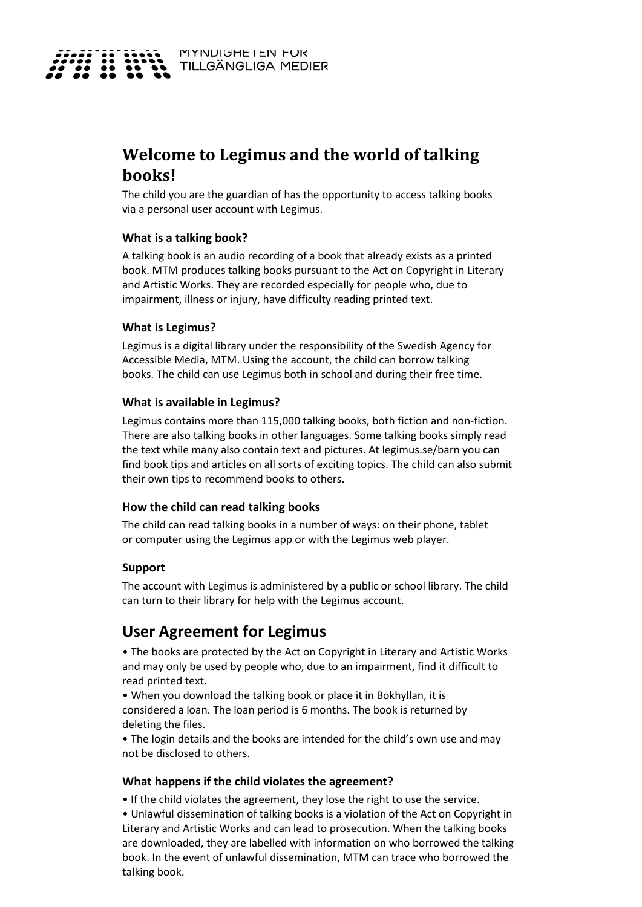

# **Welcome to Legimus and the world of talking books!**

The child you are the guardian of has the opportunity to access talking books via a personal user account with Legimus.

#### **What is a talking book?**

A talking book is an audio recording of a book that already exists as a printed book. MTM produces talking books pursuant to the Act on Copyright in Literary and Artistic Works. They are recorded especially for people who, due to impairment, illness or injury, have difficulty reading printed text.

#### **What is Legimus?**

Legimus is a digital library under the responsibility of the Swedish Agency for Accessible Media, MTM. Using the account, the child can borrow talking books. The child can use Legimus both in school and during their free time.

#### **What is available in Legimus?**

Legimus contains more than 115,000 talking books, both fiction and non-fiction. There are also talking books in other languages. Some talking books simply read the text while many also contain text and pictures. At legimus.se/barn you can find book tips and articles on all sorts of exciting topics. The child can also submit their own tips to recommend books to others.

## **How the child can read talking books**

The child can read talking books in a number of ways: on their phone, tablet or computer using the Legimus app or with the Legimus web player.

#### **Support**

The account with Legimus is administered by a public or school library. The child can turn to their library for help with the Legimus account.

# **User Agreement for Legimus**

• The books are protected by the Act on Copyright in Literary and Artistic Works and may only be used by people who, due to an impairment, find it difficult to read printed text.

• When you download the talking book or place it in Bokhyllan, it is considered a loan. The loan period is 6 months. The book is returned by deleting the files.

• The login details and the books are intended for the child's own use and may not be disclosed to others.

#### **What happens if the child violates the agreement?**

• If the child violates the agreement, they lose the right to use the service.

• Unlawful dissemination of talking books is a violation of the Act on Copyright in Literary and Artistic Works and can lead to prosecution. When the talking books are downloaded, they are labelled with information on who borrowed the talking book. In the event of unlawful dissemination, MTM can trace who borrowed the talking book.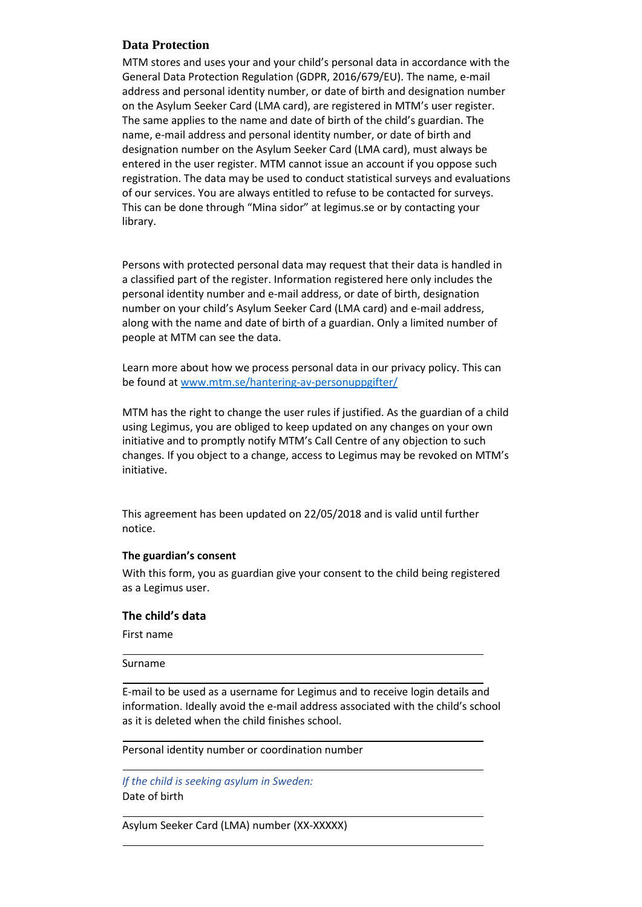# **Data Protection**

MTM stores and uses your and your child's personal data in accordance with the General Data Protection Regulation (GDPR, 2016/679/EU). The name, e-mail address and personal identity number, or date of birth and designation number on the Asylum Seeker Card (LMA card), are registered in MTM's user register. The same applies to the name and date of birth of the child's guardian. The name, e-mail address and personal identity number, or date of birth and designation number on the Asylum Seeker Card (LMA card), must always be entered in the user register. MTM cannot issue an account if you oppose such registration. The data may be used to conduct statistical surveys and evaluations of our services. You are always entitled to refuse to be contacted for surveys. This can be done through "Mina sidor" at legimus.se or by contacting your library.

Persons with protected personal data may request that their data is handled in a classified part of the register. Information registered here only includes the personal identity number and e-mail address, or date of birth, designation number on your child's Asylum Seeker Card (LMA card) and e-mail address, along with the name and date of birth of a guardian. Only a limited number of people at MTM can see the data.

Learn more about how we process personal data in our privacy policy. This can be found a[t www.mtm.se/hantering-av-personuppgifter/](http://www.mtm.se/hantering-av-personuppgifter/)

MTM has the right to change the user rules if justified. As the guardian of a child using Legimus, you are obliged to keep updated on any changes on your own initiative and to promptly notify MTM's Call Centre of any objection to such changes. If you object to a change, access to Legimus may be revoked on MTM's initiative.

This agreement has been updated on 22/05/2018 and is valid until further notice.

#### **The guardian's consent**

With this form, you as guardian give your consent to the child being registered as a Legimus user.

#### **The child's data**

First name

#### Surname

E-mail to be used as a username for Legimus and to receive login details and information. Ideally avoid the e-mail address associated with the child's school as it is deleted when the child finishes school.

Personal identity number or coordination number

*If the child is seeking asylum in Sweden:* Date of birth

Asylum Seeker Card (LMA) number (XX-XXXXX)